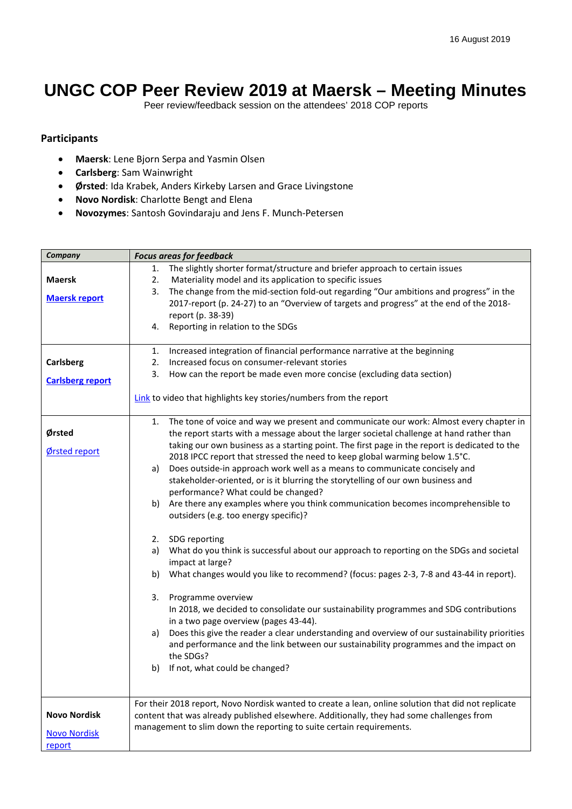## **UNGC COP Peer Review 2019 at Maersk – Meeting Minutes**

Peer review/feedback session on the attendees' 2018 COP reports

## **Participants**

- **Maersk**: Lene Bjorn Serpa and Yasmin Olsen
- **Carlsberg**: Sam Wainwright
- **Ørsted**: Ida Krabek, Anders Kirkeby Larsen and Grace Livingstone
- **Novo Nordisk**: Charlotte Bengt and Elena
- **Novozymes**: Santosh Govindaraju and Jens F. Munch-Petersen

| Company                 | <b>Focus areas for feedback</b>                                                                     |
|-------------------------|-----------------------------------------------------------------------------------------------------|
|                         | 1. The slightly shorter format/structure and briefer approach to certain issues                     |
| <b>Maersk</b>           | Materiality model and its application to specific issues<br>2.                                      |
|                         | The change from the mid-section fold-out regarding "Our ambitions and progress" in the<br>3.        |
| <b>Maersk report</b>    | 2017-report (p. 24-27) to an "Overview of targets and progress" at the end of the 2018-             |
|                         | report (p. 38-39)                                                                                   |
|                         | 4. Reporting in relation to the SDGs                                                                |
|                         |                                                                                                     |
|                         | Increased integration of financial performance narrative at the beginning<br>1.                     |
| <b>Carlsberg</b>        | Increased focus on consumer-relevant stories<br>2.                                                  |
|                         | How can the report be made even more concise (excluding data section)<br>3.                         |
| <b>Carlsberg report</b> |                                                                                                     |
|                         | Link to video that highlights key stories/numbers from the report                                   |
|                         |                                                                                                     |
|                         | 1. The tone of voice and way we present and communicate our work: Almost every chapter in           |
| Ørsted                  | the report starts with a message about the larger societal challenge at hand rather than            |
|                         | taking our own business as a starting point. The first page in the report is dedicated to the       |
| Ørsted report           | 2018 IPCC report that stressed the need to keep global warming below 1.5°C.                         |
|                         | Does outside-in approach work well as a means to communicate concisely and<br>a)                    |
|                         | stakeholder-oriented, or is it blurring the storytelling of our own business and                    |
|                         | performance? What could be changed?                                                                 |
|                         | b) Are there any examples where you think communication becomes incomprehensible to                 |
|                         | outsiders (e.g. too energy specific)?                                                               |
|                         |                                                                                                     |
|                         | 2. SDG reporting                                                                                    |
|                         | What do you think is successful about our approach to reporting on the SDGs and societal<br>a)      |
|                         | impact at large?                                                                                    |
|                         | b) What changes would you like to recommend? (focus: pages 2-3, 7-8 and 43-44 in report).           |
|                         |                                                                                                     |
|                         | 3. Programme overview                                                                               |
|                         | In 2018, we decided to consolidate our sustainability programmes and SDG contributions              |
|                         | in a two page overview (pages 43-44).                                                               |
|                         | Does this give the reader a clear understanding and overview of our sustainability priorities<br>a) |
|                         | and performance and the link between our sustainability programmes and the impact on                |
|                         | the SDGs?                                                                                           |
|                         | b) If not, what could be changed?                                                                   |
|                         |                                                                                                     |
|                         |                                                                                                     |
|                         | For their 2018 report, Novo Nordisk wanted to create a lean, online solution that did not replicate |
| <b>Novo Nordisk</b>     | content that was already published elsewhere. Additionally, they had some challenges from           |
| <b>Novo Nordisk</b>     | management to slim down the reporting to suite certain requirements.                                |
| report                  |                                                                                                     |
|                         |                                                                                                     |